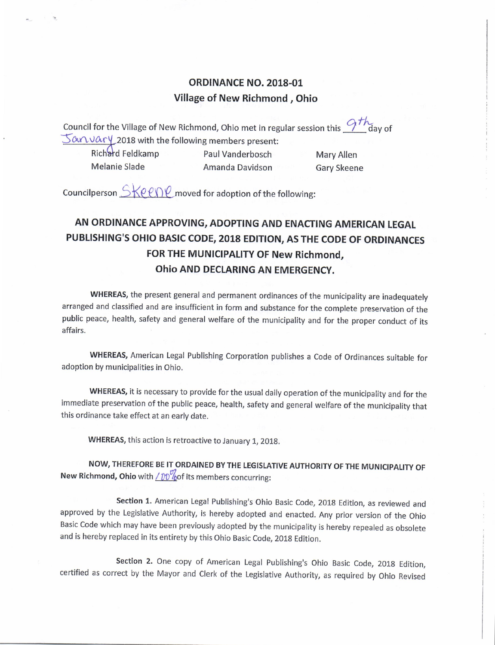## **ORDINANCE NO. 2018-01** Village of New Richmond , Ohio

Council for the Village of New Richmond, Ohio met in regular session this  $\frac{Q\hskip.01in {\cal{H}}}{d}$ day of  $\frac{1}{2}$   $\alpha$   $\alpha$   $\alpha$   $\gamma$  2018 with the following members present:

Richard Feldkamp Paul Vanderbosch Mary Allen Melanie Slade **Amanda Davidson** Gary Skeene

Councilperson  $\frac{\text{Spec}(P)}{\text{Spec}(P)}$  moved for adoption of the following:

## AN ORDINANCE APPROVING, ADOPTING AND ENACTING AMERICAN LEGAL PUBLISHING'S OHIO BASIC CODE, 2018 EDITION, AS THE CODE OF ORDINANCES FOR THE MUNICIPALITY OF New Richmond, Ohio AND DECLARING AN EMERGENCY.

WHEREAS, the present general and permanent ordinances of the municipality are inadequately arranged and classified and are insufficient in form and substance for the complete preservation of the public peace, health, safety and general welfare of the municipality and for the proper conduct of its affairs.

WHEREAS, American Legal Publishing Corporation publishes <sup>a</sup> Code of Ordinances suitable for adoption by municipalities in Ohio.

WHEREAS, it is necessary to provide for the usual daily operation of the municipality and for the immediate preservation of the public peace, health, safety and general welfare of the municipality that this ordinance take effect at an early date.

WHEREAS, this action is retroactive to January 1, 2018.

NOW, THEREFORE BE IT ORDAINED BY THE LEGISLATIVE AUTHORITY OF THE MUNICIPALITY OF New Richmond, Ohio with  $\angle p \partial \psi$  of its members concurring:

Section 1. American Legal Publishing's Ohio Basic Code, 2018 Edition, as reviewed and approved by the Legislative Authority, is hereby adopted and enacted. Any prior version of the Ohio Basic Code which may have been previously adopted by the municipality is hereby repealed as obsolete and is hereby replaced in its entirety by this Ohio Basic Code, 2018 Edition.

Section 2. One copy of American Legal Publishing's Ohio Basic Code, 2018 Edition, certified as correct by the Mayor and Clerk of the Legislative Authority, as required by Ohio Revised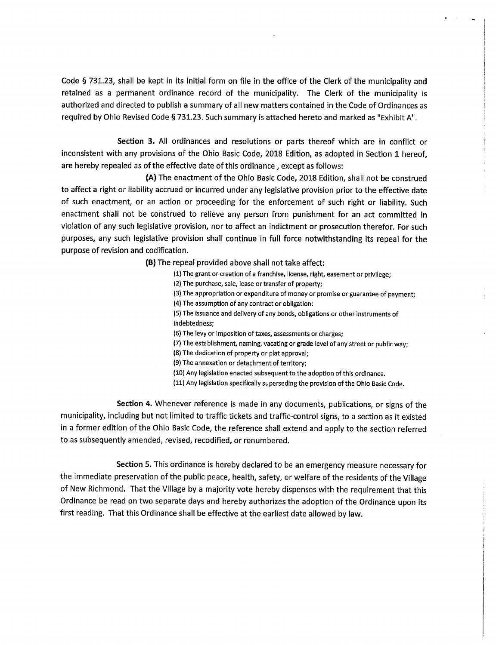Code § 731. 23, shall be kept in its initial form on file in the office of the Clerk of the municipality and retained as <sup>a</sup> permanent ordinance record of the municipality. The Clerk of the municipality is authorized and directed to publish <sup>a</sup> summary of all new matters contained in the Code of Ordinances as required by Ohio Revised Code § 731.23. Such summary is attached hereto and marked as "Exhibit A".

Section 3. All ordinances and resolutions or parts thereof which are in conflict or inconsistent with any provisions of the Ohio Basic Code, 2018 Edition, as adopted in Section 1 hereof, are hereby repealed as of the effective date of this ordinance, except as follows:

A) The enactment of the Ohio Basic Code, 2018 Edition, shall not be construed to affect a right or liability accrued or incurred under any legislative provision prior to the effective date of such enactment, or an action or proceeding for the enforcement of such right or liability. Such enactment shall not be construed to relieve any person from punishment for an act committed in violation of any such legislative provision, nor to affect an indictment or prosecution therefor. For such purposes, any such legislative provision shall continue in full force notwithstanding its repeal for the purpose of revision and codification.

B) The repeal provided above shall not take affect:

1) The grant or creation of a franchise, license, right, easement or privilege; 2) The purchase, sale, lease or transfer of property; 3) The appropriation or expenditure of money or promise or guarantee of payment; 4) The assumption of any contract or obligation: 5) The issuance and delivery of any bonds, obligations or other instruments of indebtedness; 6) The levy or imposition of taxes, assessments or charges; 7) The establishment, naming, vacating or grade level of any street or public way; 8) The dedication of property or plat approval; 9) The annexation or detachment of territory; 10) Any legislation enacted subsequent to the adoption of this ordinance. 11) Any legislation specifically superseding the provision of the Ohio Basic Code.

Section 4. Whenever reference is made in any documents, publications, or signs of the municipality, including but not limited to traffic tickets and traffic- control signs, to <sup>a</sup> section as it existed in <sup>a</sup> former edition of the Ohio Basic Code, the reference shall extend and apply to the section referred to as subsequently amended, revised, recodified, or renumbered.

Section 5. This ordinance is hereby declared to be an emergency measure necessary for the immediate preservation of the public peace, health, safety, or welfare of the residents of the Village of New Richmond. That the Village by a majority vote hereby dispenses with the requirement that this Ordinance be read on two separate days and hereby authorizes the adoption of the Ordinance upon its first reading. That this Ordinance shall be effective at the earliest date allowed by law.